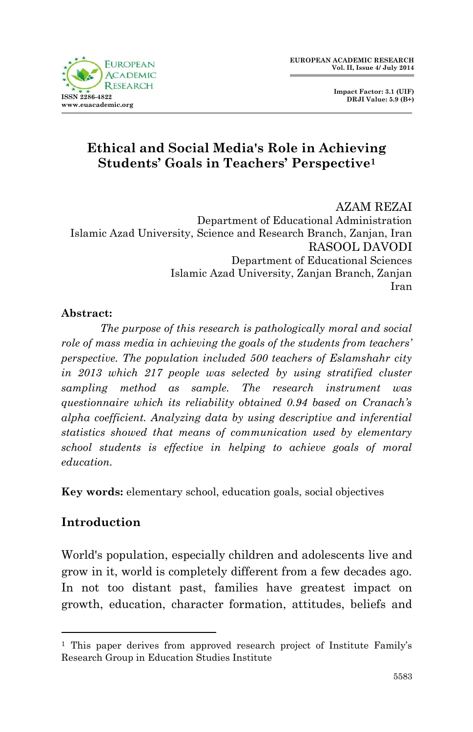

 **Impact Factor: 3.1 (UIF) DRJI Value: 5.9 (B+)**

# **Ethical and Social Media's Role in Achieving Students' Goals in Teachers' Perspective<sup>1</sup>**

AZAM REZAI Department of Educational Administration Islamic Azad University, Science and Research Branch, Zanjan, Iran RASOOL DAVODI Department of Educational Sciences Islamic Azad University, Zanjan Branch, Zanjan Iran

### **Abstract:**

*The purpose of this research is pathologically moral and social role of mass media in achieving the goals of the students from teachers' perspective. The population included 500 teachers of Eslamshahr city in 2013 which 217 people was selected by using stratified cluster sampling method as sample. The research instrument was questionnaire which its reliability obtained 0.94 based on Cranach's alpha coefficient. Analyzing data by using descriptive and inferential statistics showed that means of communication used by elementary school students is effective in helping to achieve goals of moral education.*

**Key words:** elementary school, education goals, social objectives

## **Introduction**

1

World's population, especially children and adolescents live and grow in it, world is completely different from a few decades ago. In not too distant past, families have greatest impact on growth, education, character formation, attitudes, beliefs and

<sup>1</sup> This paper derives from approved research project of Institute Family's Research Group in Education Studies Institute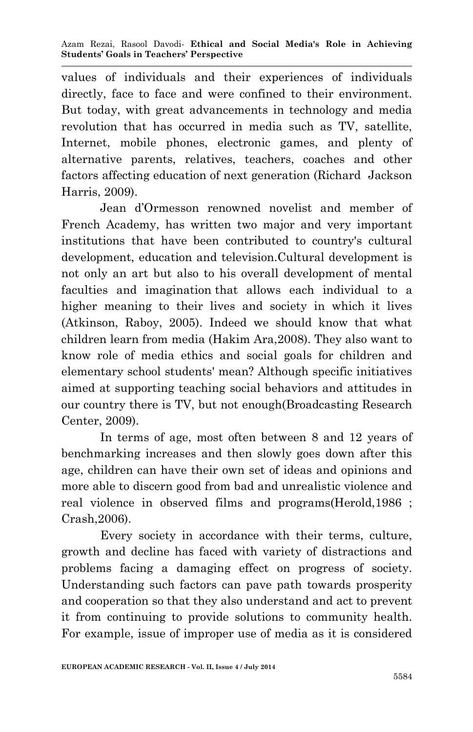values of individuals and their experiences of individuals directly, face to face and were confined to their environment. But today, with great advancements in technology and media revolution that has occurred in media such as TV, satellite, Internet, mobile phones, electronic games, and plenty of alternative parents, relatives, teachers, coaches and other factors affecting education of next generation (Richard Jackson Harris, 2009).

Jean d'Ormesson renowned novelist and member of French Academy, has written two major and very important institutions that have been contributed to country's cultural development, education and television.Cultural development is not only an art but also to his overall development of mental faculties and imagination that allows each individual to a higher meaning to their lives and society in which it lives (Atkinson, Raboy, 2005). Indeed we should know that what children learn from media (Hakim Ara,2008). They also want to know role of media ethics and social goals for children and elementary school students' mean? Although specific initiatives aimed at supporting teaching social behaviors and attitudes in our country there is TV, but not enough(Broadcasting Research Center, 2009).

In terms of age, most often between 8 and 12 years of benchmarking increases and then slowly goes down after this age, children can have their own set of ideas and opinions and more able to discern good from bad and unrealistic violence and real violence in observed films and programs(Herold,1986 ; Crash,2006).

Every society in accordance with their terms, culture, growth and decline has faced with variety of distractions and problems facing a damaging effect on progress of society. Understanding such factors can pave path towards prosperity and cooperation so that they also understand and act to prevent it from continuing to provide solutions to community health. For example, issue of improper use of media as it is considered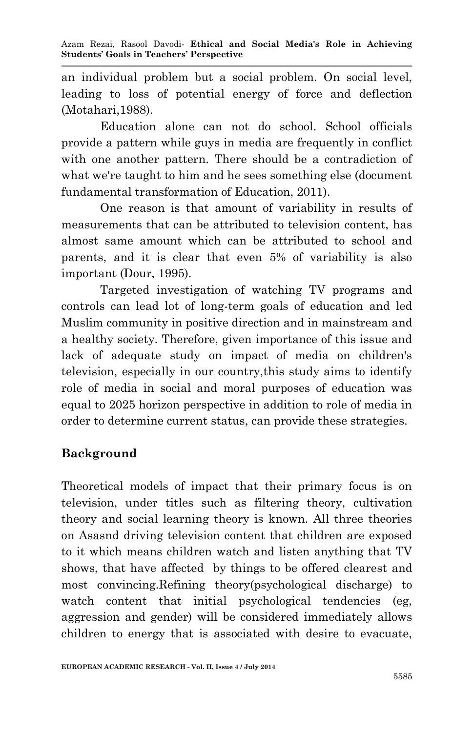an individual problem but a social problem. On social level, leading to loss of potential energy of force and deflection (Motahari,1988).

Education alone can not do school. School officials provide a pattern while guys in media are frequently in conflict with one another pattern. There should be a contradiction of what we're taught to him and he sees something else (document fundamental transformation of Education, 2011).

One reason is that amount of variability in results of measurements that can be attributed to television content, has almost same amount which can be attributed to school and parents, and it is clear that even 5% of variability is also important (Dour, 1995).

Targeted investigation of watching TV programs and controls can lead lot of long-term goals of education and led Muslim community in positive direction and in mainstream and a healthy society. Therefore, given importance of this issue and lack of adequate study on impact of media on children's television, especially in our country,this study aims to identify role of media in social and moral purposes of education was equal to 2025 horizon perspective in addition to role of media in order to determine current status, can provide these strategies.

## **Background**

Theoretical models of impact that their primary focus is on television, under titles such as filtering theory, cultivation theory and social learning theory is known. All three theories on Asasnd driving television content that children are exposed to it which means children watch and listen anything that TV shows, that have affected by things to be offered clearest and most convincing.Refining theory(psychological discharge) to watch content that initial psychological tendencies (eg, aggression and gender) will be considered immediately allows children to energy that is associated with desire to evacuate,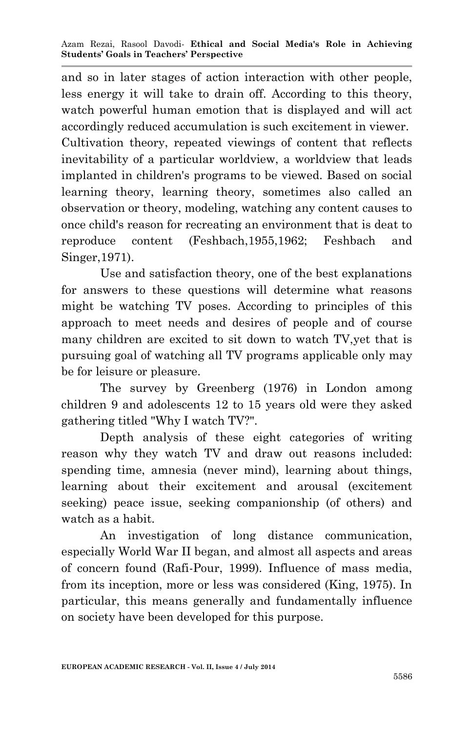and so in later stages of action interaction with other people, less energy it will take to drain off. According to this theory, watch powerful human emotion that is displayed and will act accordingly reduced accumulation is such excitement in viewer. Cultivation theory, repeated viewings of content that reflects inevitability of a particular worldview, a worldview that leads implanted in children's programs to be viewed. Based on social learning theory, learning theory, sometimes also called an observation or theory, modeling, watching any content causes to once child's reason for recreating an environment that is deat to reproduce content (Feshbach,1955,1962; Feshbach and Singer,1971).

Use and satisfaction theory, one of the best explanations for answers to these questions will determine what reasons might be watching TV poses. According to principles of this approach to meet needs and desires of people and of course many children are excited to sit down to watch TV,yet that is pursuing goal of watching all TV programs applicable only may be for leisure or pleasure.

The survey by Greenberg (1976) in London among children 9 and adolescents 12 to 15 years old were they asked gathering titled "Why I watch TV?".

Depth analysis of these eight categories of writing reason why they watch TV and draw out reasons included: spending time, amnesia (never mind), learning about things, learning about their excitement and arousal (excitement seeking) peace issue, seeking companionship (of others) and watch as a habit.

An investigation of long distance communication, especially World War II began, and almost all aspects and areas of concern found (Rafi-Pour, 1999). Influence of mass media, from its inception, more or less was considered (King, 1975). In particular, this means generally and fundamentally influence on society have been developed for this purpose.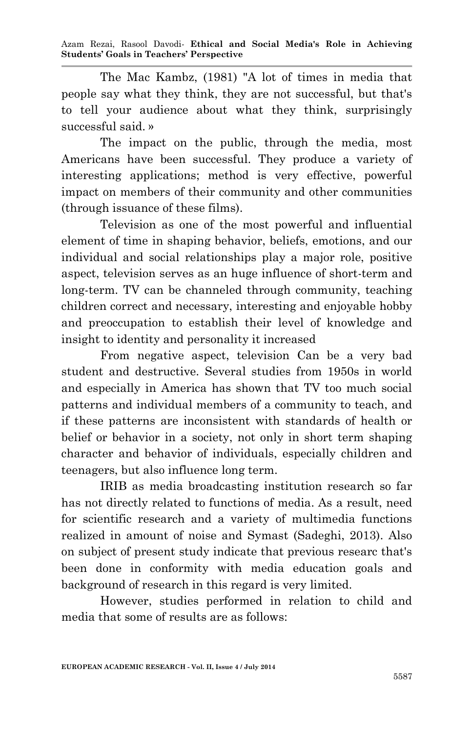Azam Rezai, Rasool Davodi*-* **Ethical and Social Media's Role in Achieving Students' Goals in Teachers' Perspective**

The Mac Kambz, (1981) "A lot of times in media that people say what they think, they are not successful, but that's to tell your audience about what they think, surprisingly successful said. »

The impact on the public, through the media, most Americans have been successful. They produce a variety of interesting applications; method is very effective, powerful impact on members of their community and other communities (through issuance of these films).

Television as one of the most powerful and influential element of time in shaping behavior, beliefs, emotions, and our individual and social relationships play a major role, positive aspect, television serves as an huge influence of short-term and long-term. TV can be channeled through community, teaching children correct and necessary, interesting and enjoyable hobby and preoccupation to establish their level of knowledge and insight to identity and personality it increased

From negative aspect, television Can be a very bad student and destructive. Several studies from 1950s in world and especially in America has shown that TV too much social patterns and individual members of a community to teach, and if these patterns are inconsistent with standards of health or belief or behavior in a society, not only in short term shaping character and behavior of individuals, especially children and teenagers, but also influence long term.

IRIB as media broadcasting institution research so far has not directly related to functions of media. As a result, need for scientific research and a variety of multimedia functions realized in amount of noise and Symast (Sadeghi, 2013). Also on subject of present study indicate that previous researc that's been done in conformity with media education goals and background of research in this regard is very limited.

However, studies performed in relation to child and media that some of results are as follows: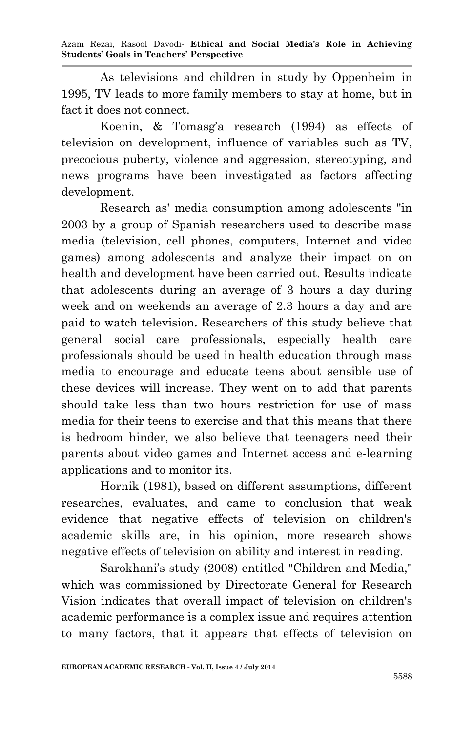Azam Rezai, Rasool Davodi*-* **Ethical and Social Media's Role in Achieving Students' Goals in Teachers' Perspective**

As televisions and children in study by Oppenheim in 1995, TV leads to more family members to stay at home, but in fact it does not connect.

Koenin, & Tomasg'a research (1994) as effects of television on development, influence of variables such as TV, precocious puberty, violence and aggression, stereotyping, and news programs have been investigated as factors affecting development.

Research as' media consumption among adolescents "in 2003 by a group of Spanish researchers used to describe mass media (television, cell phones, computers, Internet and video games) among adolescents and analyze their impact on on health and development have been carried out. Results indicate that adolescents during an average of 3 hours a day during week and on weekends an average of 2.3 hours a day and are paid to watch television**.** Researchers of this study believe that general social care professionals, especially health care professionals should be used in health education through mass media to encourage and educate teens about sensible use of these devices will increase. They went on to add that parents should take less than two hours restriction for use of mass media for their teens to exercise and that this means that there is bedroom hinder, we also believe that teenagers need their parents about video games and Internet access and e-learning applications and to monitor its.

Hornik (1981), based on different assumptions, different researches, evaluates, and came to conclusion that weak evidence that negative effects of television on children's academic skills are, in his opinion, more research shows negative effects of television on ability and interest in reading.

Sarokhani's study (2008) entitled "Children and Media," which was commissioned by Directorate General for Research Vision indicates that overall impact of television on children's academic performance is a complex issue and requires attention to many factors, that it appears that effects of television on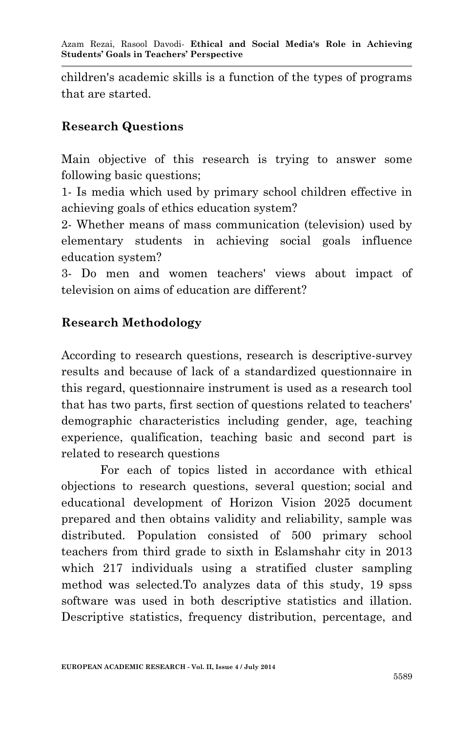children's academic skills is a function of the types of programs that are started.

## **Research Questions**

Main objective of this research is trying to answer some following basic questions;

1- Is media which used by primary school children effective in achieving goals of ethics education system?

2- Whether means of mass communication (television) used by elementary students in achieving social goals influence education system?

3- Do men and women teachers' views about impact of television on aims of education are different?

# **Research Methodology**

According to research questions, research is descriptive-survey results and because of lack of a standardized questionnaire in this regard, questionnaire instrument is used as a research tool that has two parts, first section of questions related to teachers' demographic characteristics including gender, age, teaching experience, qualification, teaching basic and second part is related to research questions

For each of topics listed in accordance with ethical objections to research questions, several question; social and educational development of Horizon Vision 2025 document prepared and then obtains validity and reliability, sample was distributed. Population consisted of 500 primary school teachers from third grade to sixth in Eslamshahr city in 2013 which 217 individuals using a stratified cluster sampling method was selected.To analyzes data of this study, 19 spss software was used in both descriptive statistics and illation. Descriptive statistics, frequency distribution, percentage, and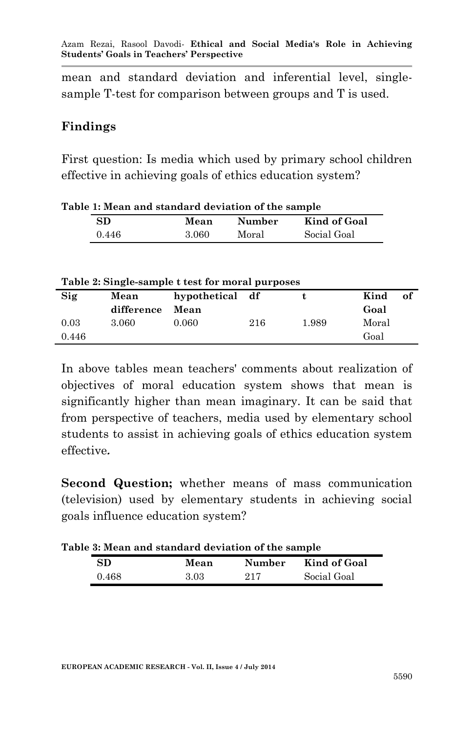Azam Rezai, Rasool Davodi*-* **Ethical and Social Media's Role in Achieving Students' Goals in Teachers' Perspective**

mean and standard deviation and inferential level, singlesample T-test for comparison between groups and T is used.

### **Findings**

First question: Is media which used by primary school children effective in achieving goals of ethics education system?

| SD    | Mean  | <b>Number</b> | Kind of Goal |
|-------|-------|---------------|--------------|
| 0.446 | 3.060 | Moral         | Social Goal  |

|  | Table 1: Mean and standard deviation of the sample |
|--|----------------------------------------------------|
|  |                                                    |

#### **Table 2: Single-sample t test for moral purposes**

| Sig   | Mean       | hypothetical df |     |       | Kind  | of |
|-------|------------|-----------------|-----|-------|-------|----|
|       | difference | Mean            |     |       | Goal  |    |
| 0.03  | 3.060      | 0.060           | 216 | 1.989 | Moral |    |
| 0.446 |            |                 |     |       | Goal  |    |

In above tables mean teachers' comments about realization of objectives of moral education system shows that mean is significantly higher than mean imaginary. It can be said that from perspective of teachers, media used by elementary school students to assist in achieving goals of ethics education system effective**.**

**Second Question;** whether means of mass communication (television) used by elementary students in achieving social goals influence education system?

**Table 3: Mean and standard deviation of the sample**

| SD    | Mean | Number | Kind of Goal |
|-------|------|--------|--------------|
| 0.468 | 3.03 | 917    | Social Goal  |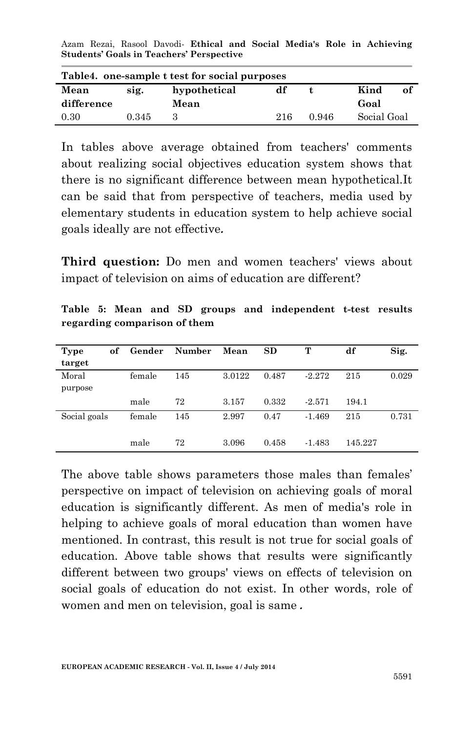Azam Rezai, Rasool Davodi*-* **Ethical and Social Media's Role in Achieving Students' Goals in Teachers' Perspective**

| Table4. one-sample t test for social purposes |       |              |     |       |             |  |
|-----------------------------------------------|-------|--------------|-----|-------|-------------|--|
| Mean                                          | sig.  | hypothetical | df  |       | Kind<br>оf  |  |
| difference                                    |       | Mean         |     |       | Goal        |  |
| 0.30                                          | 0.345 |              | 216 | 0.946 | Social Goal |  |

In tables above average obtained from teachers' comments about realizing social objectives education system shows that there is no significant difference between mean hypothetical.It can be said that from perspective of teachers, media used by elementary students in education system to help achieve social goals ideally are not effective**.**

**Third question:** Do men and women teachers' views about impact of television on aims of education are different?

| Type<br>of<br>target | Gender | Number | Mean   | SD    | т        | df      | Sig.  |
|----------------------|--------|--------|--------|-------|----------|---------|-------|
| Moral                | female | 145    | 3.0122 | 0.487 | $-2.272$ | 215     | 0.029 |
| purpose              |        |        |        |       |          |         |       |
|                      | male   | 72     | 3.157  | 0.332 | $-2.571$ | 194.1   |       |
| Social goals         | female | 145    | 2.997  | 0.47  | $-1.469$ | 215     | 0.731 |
|                      |        |        |        |       |          |         |       |
|                      | male   | 72     | 3.096  | 0.458 | $-1.483$ | 145.227 |       |

**Table 5: Mean and SD groups and independent t-test results regarding comparison of them**

The above table shows parameters those males than females' perspective on impact of television on achieving goals of moral education is significantly different. As men of media's role in helping to achieve goals of moral education than women have mentioned. In contrast, this result is not true for social goals of education. Above table shows that results were significantly different between two groups' views on effects of television on social goals of education do not exist. In other words, role of women and men on television, goal is same **.**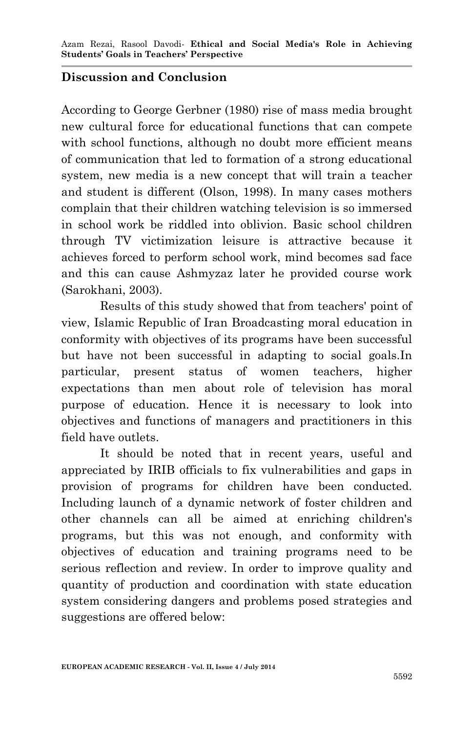## **Discussion and Conclusion**

According to George Gerbner (1980) rise of mass media brought new cultural force for educational functions that can compete with school functions, although no doubt more efficient means of communication that led to formation of a strong educational system, new media is a new concept that will train a teacher and student is different (Olson, 1998). In many cases mothers complain that their children watching television is so immersed in school work be riddled into oblivion. Basic school children through TV victimization leisure is attractive because it achieves forced to perform school work, mind becomes sad face and this can cause Ashmyzaz later he provided course work (Sarokhani, 2003).

Results of this study showed that from teachers' point of view, Islamic Republic of Iran Broadcasting moral education in conformity with objectives of its programs have been successful but have not been successful in adapting to social goals.In particular, present status of women teachers, higher expectations than men about role of television has moral purpose of education. Hence it is necessary to look into objectives and functions of managers and practitioners in this field have outlets.

It should be noted that in recent years, useful and appreciated by IRIB officials to fix vulnerabilities and gaps in provision of programs for children have been conducted. Including launch of a dynamic network of foster children and other channels can all be aimed at enriching children's programs, but this was not enough, and conformity with objectives of education and training programs need to be serious reflection and review. In order to improve quality and quantity of production and coordination with state education system considering dangers and problems posed strategies and suggestions are offered below: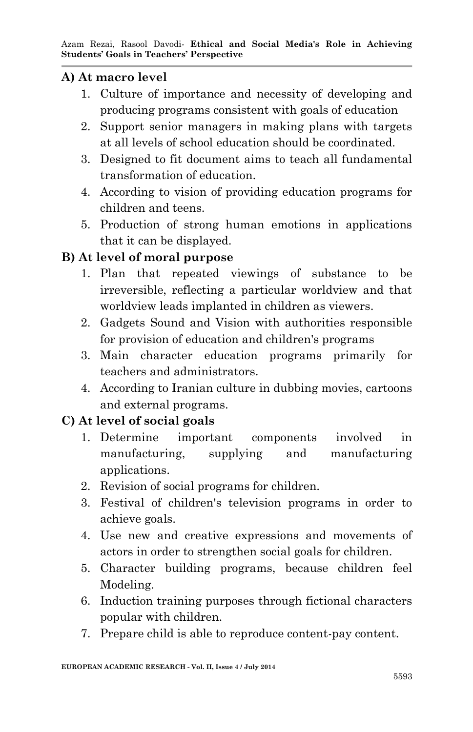### **A) At macro level**

- 1. Culture of importance and necessity of developing and producing programs consistent with goals of education
- 2. Support senior managers in making plans with targets at all levels of school education should be coordinated.
- 3. Designed to fit document aims to teach all fundamental transformation of education.
- 4. According to vision of providing education programs for children and teens.
- 5. Production of strong human emotions in applications that it can be displayed.

## **B) At level of moral purpose**

- 1. Plan that repeated viewings of substance to be irreversible, reflecting a particular worldview and that worldview leads implanted in children as viewers.
- 2. Gadgets Sound and Vision with authorities responsible for provision of education and children's programs
- 3. Main character education programs primarily for teachers and administrators.
- 4. According to Iranian culture in dubbing movies, cartoons and external programs.

## **C) At level of social goals**

- 1. Determine important components involved in manufacturing, supplying and manufacturing applications.
- 2. Revision of social programs for children.
- 3. Festival of children's television programs in order to achieve goals.
- 4. Use new and creative expressions and movements of actors in order to strengthen social goals for children.
- 5. Character building programs, because children feel Modeling.
- 6. Induction training purposes through fictional characters popular with children.
- 7. Prepare child is able to reproduce content-pay content.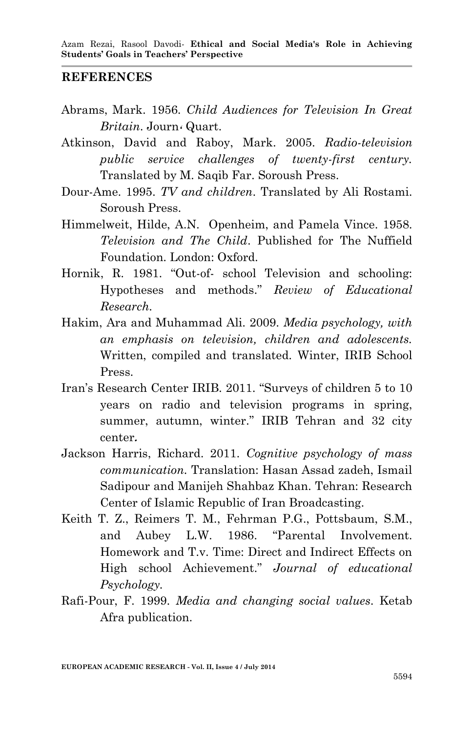#### **REFERENCES**

- Abrams, Mark. 1956. *Child Audiences for Television In Great Britain*. Journ**،** Quart.
- Atkinson, David and Raboy, Mark. 2005. *Radio-television public service challenges of twenty-first century.* Translated by M. Saqib Far. Soroush Press.
- Dour-Ame. 1995. *TV and children*. Translated by Ali Rostami. Soroush Press.
- Himmelweit, Hilde, A.N. Openheim, and Pamela Vince. 1958. *Television and The Child*. Published for The Nuffield Foundation. London: Oxford.
- Hornik, R. 1981. "Out-of- school Television and schooling: Hypotheses and methods." *Review of Educational Research.*
- Hakim, Ara and Muhammad Ali. 2009. *Media psychology, with an emphasis on television, children and adolescents.* Written, compiled and translated. Winter, IRIB School Press.
- Iran's Research Center IRIB. 2011. "Surveys of children 5 to 10 years on radio and television programs in spring, summer, autumn, winter." IRIB Tehran and 32 city center**.**
- Jackson Harris, Richard. 2011. *Cognitive psychology of mass communication.* Translation: Hasan Assad zadeh, Ismail Sadipour and Manijeh Shahbaz Khan. Tehran: Research Center of Islamic Republic of Iran Broadcasting.
- Keith T. Z., Reimers T. M., Fehrman P.G., Pottsbaum, S.M., and Aubey L.W. 1986. "Parental Involvement. Homework and T.v. Time: Direct and Indirect Effects on High school Achievement." *Journal of educational Psychology.*
- Rafi-Pour, F. 1999. *Media and changing social values*. Ketab Afra publication.